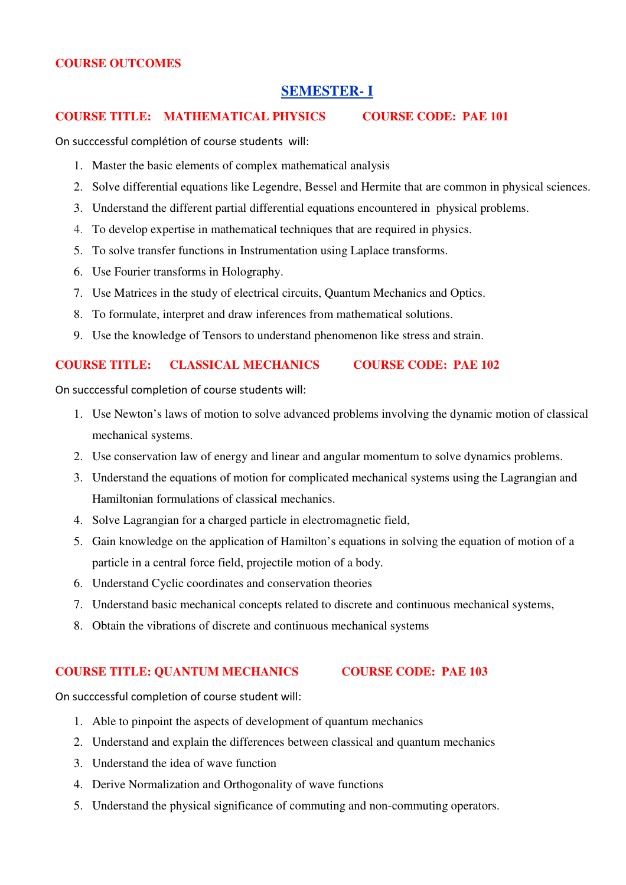## **COURSE OUTCOMES**

# **SEMESTER- I**

## **COURSE TITLE: MATHEMATICAL PHYSICS COURSE CODE: PAE 101**

On succcessful complétion of course students will:

- 1. Master the basic elements of complex mathematical analysis
- 2. Solve differential equations like Legendre, Bessel and Hermite that are common in physical sciences.
- 3. Understand the different partial differential equations encountered in physical problems.
- 4. To develop expertise in mathematical techniques that are required in physics.
- 5. To solve transfer functions in Instrumentation using Laplace transforms.
- 6. Use Fourier transforms in Holography.
- 7. Use Matrices in the study of electrical circuits, Quantum Mechanics and Optics.
- 8. To formulate, interpret and draw inferences from mathematical solutions.
- 9. Use the knowledge of Tensors to understand phenomenon like stress and strain.

# **COURSE TITLE: CLASSICAL MECHANICS COURSE CODE: PAE 102**

On succcessful completion of course students will:

- 1. Use Newton's laws of motion to solve advanced problems involving the dynamic motion of classical mechanical systems.
- 2. Use conservation law of energy and linear and angular momentum to solve dynamics problems.
- 3. Understand the equations of motion for complicated mechanical systems using the Lagrangian and Hamiltonian formulations of classical mechanics.
- 4. Solve Lagrangian for a charged particle in electromagnetic field,
- 5. Gain knowledge on the application of Hamilton's equations in solving the equation of motion of a particle in a central force field, projectile motion of a body.
- 6. Understand Cyclic coordinates and conservation theories
- 7. Understand basic mechanical concepts related to discrete and continuous mechanical systems,
- 8. Obtain the vibrations of discrete and continuous mechanical systems

### **COURSE TITLE: QUANTUM MECHANICS COURSE CODE: PAE 103**

- 1. Able to pinpoint the aspects of development of quantum mechanics
- 2. Understand and explain the differences between classical and quantum mechanics
- 3. Understand the idea of wave function
- 4. Derive Normalization and Orthogonality of wave functions
- 5. Understand the physical significance of commuting and non-commuting operators.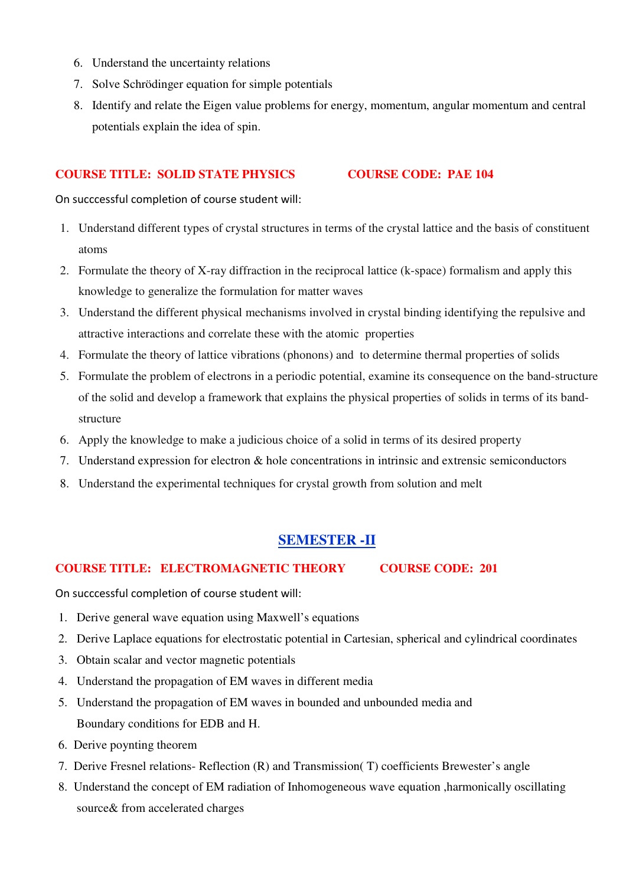- 6. Understand the uncertainty relations
- 7. Solve Schrödinger equation for simple potentials
- 8. Identify and relate the Eigen value problems for energy, momentum, angular momentum and central potentials explain the idea of spin.

### **COURSE TITLE: SOLID STATE PHYSICS COURSE CODE: PAE 104**

On succcessful completion of course student will:

- 1. Understand different types of crystal structures in terms of the crystal lattice and the basis of constituent atoms
- 2. Formulate the theory of X-ray diffraction in the reciprocal lattice (k-space) formalism and apply this knowledge to generalize the formulation for matter waves
- 3. Understand the different physical mechanisms involved in crystal binding identifying the repulsive and attractive interactions and correlate these with the atomic properties
- 4. Formulate the theory of lattice vibrations (phonons) and to determine thermal properties of solids
- 5. Formulate the problem of electrons in a periodic potential, examine its consequence on the band-structure of the solid and develop a framework that explains the physical properties of solids in terms of its bandstructure
- 6. Apply the knowledge to make a judicious choice of a solid in terms of its desired property
- 7. Understand expression for electron & hole concentrations in intrinsic and extrensic semiconductors
- 8. Understand the experimental techniques for crystal growth from solution and melt

# **SEMESTER -II**

## **COURSE TITLE: ELECTROMAGNETIC THEORY COURSE CODE: 201**

- 1. Derive general wave equation using Maxwell's equations
- 2. Derive Laplace equations for electrostatic potential in Cartesian, spherical and cylindrical coordinates
- 3. Obtain scalar and vector magnetic potentials
- 4. Understand the propagation of EM waves in different media
- 5. Understand the propagation of EM waves in bounded and unbounded media and Boundary conditions for EDB and H.
- 6. Derive poynting theorem
- 7. Derive Fresnel relations- Reflection (R) and Transmission( T) coefficients Brewester's angle
- 8. Understand the concept of EM radiation of Inhomogeneous wave equation ,harmonically oscillating source& from accelerated charges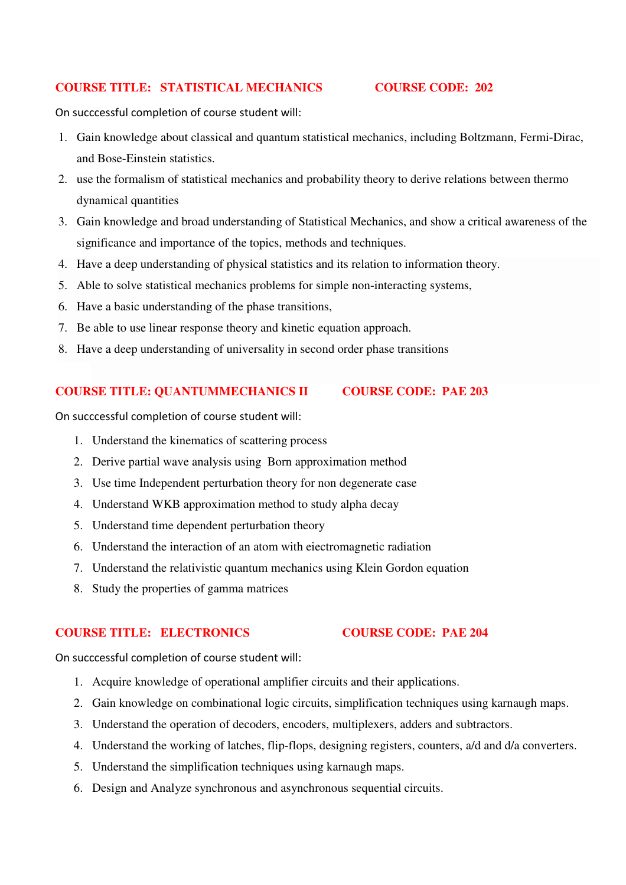## **COURSE TITLE: STATISTICAL MECHANICS COURSE CODE: 202**

On succcessful completion of course student will:

- 1. Gain knowledge about classical and quantum statistical mechanics, including Boltzmann, Fermi-Dirac, and Bose-Einstein statistics.
- 2. use the formalism of statistical mechanics and probability theory to derive relations between thermo dynamical quantities
- 3. Gain knowledge and broad understanding of Statistical Mechanics, and show a critical awareness of the significance and importance of the topics, methods and techniques.
- 4. Have a deep understanding of physical statistics and its relation to information theory.
- 5. Able to solve statistical mechanics problems for simple non-interacting systems,
- 6. Have a basic understanding of the phase transitions,
- 7. Be able to use linear response theory and kinetic equation approach.
- 8. Have a deep understanding of universality in second order phase transitions

## **COURSE TITLE: QUANTUMMECHANICS II COURSE CODE: PAE 203**

On succcessful completion of course student will:

- 1. Understand the kinematics of scattering process
- 2. Derive partial wave analysis using Born approximation method
- 3. Use time Independent perturbation theory for non degenerate case
- 4. Understand WKB approximation method to study alpha decay
- 5. Understand time dependent perturbation theory
- 6. Understand the interaction of an atom with eiectromagnetic radiation
- 7. Understand the relativistic quantum mechanics using Klein Gordon equation
- 8. Study the properties of gamma matrices

# **COURSE TITLE: ELECTRONICS COURSE CODE: PAE 204**

- 1. Acquire knowledge of operational amplifier circuits and their applications.
- 2. Gain knowledge on combinational logic circuits, simplification techniques using karnaugh maps.
- 3. Understand the operation of decoders, encoders, multiplexers, adders and subtractors.
- 4. Understand the working of latches, flip-flops, designing registers, counters, a/d and d/a converters.
- 5. Understand the simplification techniques using karnaugh maps.
- 6. Design and Analyze synchronous and asynchronous sequential circuits.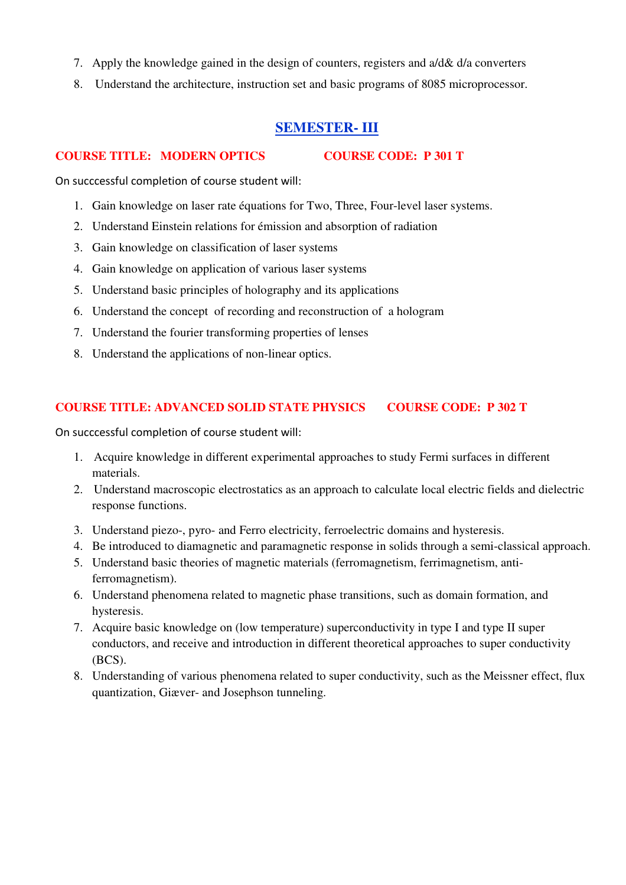- 7. Apply the knowledge gained in the design of counters, registers and a/d& d/a converters
- 8. Understand the architecture, instruction set and basic programs of 8085 microprocessor.

# **SEMESTER- III**

## **COURSE TITLE: MODERN OPTICS COURSE CODE: P 301 T**

On succcessful completion of course student will:

- 1. Gain knowledge on laser rate équations for Two, Three, Four-level laser systems.
- 2. Understand Einstein relations for émission and absorption of radiation
- 3. Gain knowledge on classification of laser systems
- 4. Gain knowledge on application of various laser systems
- 5. Understand basic principles of holography and its applications
- 6. Understand the concept of recording and reconstruction of a hologram
- 7. Understand the fourier transforming properties of lenses
- 8. Understand the applications of non-linear optics.

## **COURSE TITLE: ADVANCED SOLID STATE PHYSICS COURSE CODE: P 302 T**

- 1. Acquire knowledge in different experimental approaches to study Fermi surfaces in different materials.
- 2. Understand macroscopic electrostatics as an approach to calculate local electric fields and dielectric response functions.
- 3. Understand piezo-, pyro- and Ferro electricity, ferroelectric domains and hysteresis.
- 4. Be introduced to diamagnetic and paramagnetic response in solids through a semi-classical approach.
- 5. Understand basic theories of magnetic materials (ferromagnetism, ferrimagnetism, antiferromagnetism).
- 6. Understand phenomena related to magnetic phase transitions, such as domain formation, and hysteresis.
- 7. Acquire basic knowledge on (low temperature) superconductivity in type I and type II super conductors, and receive and introduction in different theoretical approaches to super conductivity (BCS).
- 8. Understanding of various phenomena related to super conductivity, such as the Meissner effect, flux quantization, Giæver- and Josephson tunneling.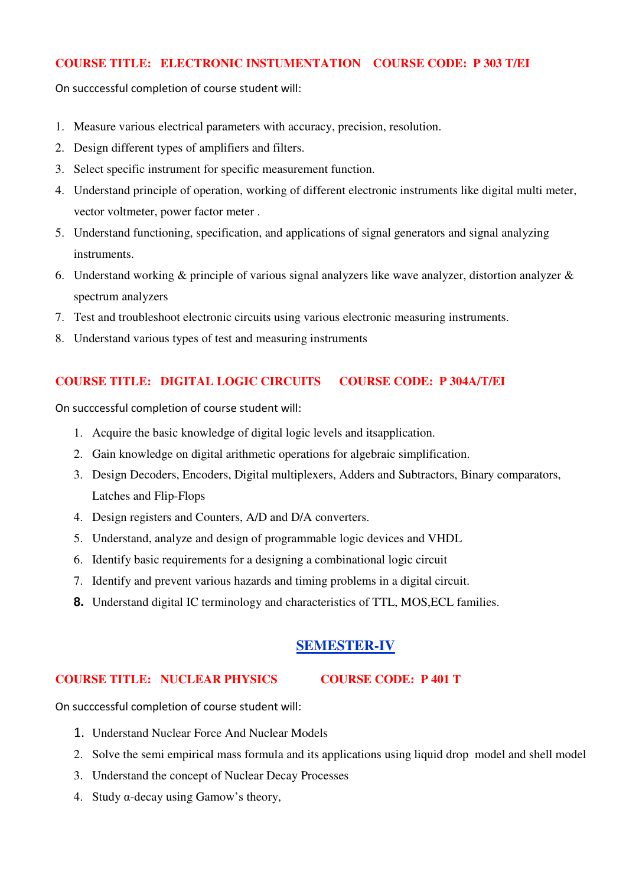## **COURSE TITLE: ELECTRONIC INSTUMENTATION COURSE CODE: P 303 T/EI**

On succcessful completion of course student will:

- 1. Measure various electrical parameters with accuracy, precision, resolution.
- 2. Design different types of amplifiers and filters.
- 3. Select specific instrument for specific measurement function.
- 4. Understand principle of operation, working of different electronic instruments like digital multi meter, vector voltmeter, power factor meter .
- 5. Understand functioning, specification, and applications of signal generators and signal analyzing instruments.
- 6. Understand working & principle of various signal analyzers like wave analyzer, distortion analyzer & spectrum analyzers
- 7. Test and troubleshoot electronic circuits using various electronic measuring instruments.
- 8. Understand various types of test and measuring instruments

## **COURSE TITLE: DIGITAL LOGIC CIRCUITS COURSE CODE: P 304A/T/EI**

On succcessful completion of course student will:

- 1. Acquire the basic knowledge of digital logic levels and itsapplication.
- 2. Gain knowledge on digital arithmetic operations for algebraic simplification.
- 3. Design Decoders, Encoders, Digital multiplexers, Adders and Subtractors, Binary comparators, Latches and Flip-Flops
- 4. Design registers and Counters, A/D and D/A converters.
- 5. Understand, analyze and design of programmable logic devices and VHDL
- 6. Identify basic requirements for a designing a combinational logic circuit
- 7. Identify and prevent various hazards and timing problems in a digital circuit.
- **8.** Understand digital IC terminology and characteristics of TTL, MOS,ECL families.

## **SEMESTER-IV**

### **COURSE TITLE: NUCLEAR PHYSICS COURSE CODE: P 401 T**

- 1. Understand Nuclear Force And Nuclear Models
- 2. Solve the semi empirical mass formula and its applications using liquid drop model and shell model
- 3. Understand the concept of Nuclear Decay Processes
- 4. Study α-decay using Gamow's theory,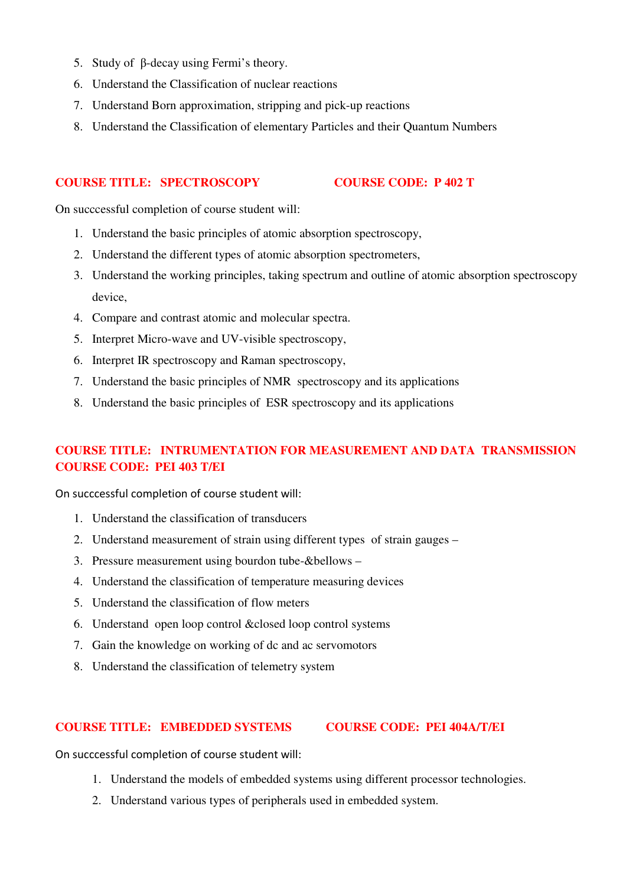- 5. Study of β-decay using Fermi's theory.
- 6. Understand the Classification of nuclear reactions
- 7. Understand Born approximation, stripping and pick-up reactions
- 8. Understand the Classification of elementary Particles and their Quantum Numbers

### **COURSE TITLE: SPECTROSCOPY COURSE CODE: P 402 T**

On succcessful completion of course student will:

- 1. Understand the basic principles of atomic absorption spectroscopy,
- 2. Understand the different types of atomic absorption spectrometers,
- 3. Understand the working principles, taking spectrum and outline of atomic absorption spectroscopy device,
- 4. Compare and contrast atomic and molecular spectra.
- 5. Interpret Micro-wave and UV-visible spectroscopy,
- 6. Interpret IR spectroscopy and Raman spectroscopy,
- 7. Understand the basic principles of NMR spectroscopy and its applications
- 8. Understand the basic principles of ESR spectroscopy and its applications

# **COURSE TITLE: INTRUMENTATION FOR MEASUREMENT AND DATA TRANSMISSION COURSE CODE: PEI 403 T/EI**

On succcessful completion of course student will:

- 1. Understand the classification of transducers
- 2. Understand measurement of strain using different types of strain gauges –
- 3. Pressure measurement using bourdon tube-&bellows –
- 4. Understand the classification of temperature measuring devices
- 5. Understand the classification of flow meters
- 6. Understand open loop control &closed loop control systems
- 7. Gain the knowledge on working of dc and ac servomotors
- 8. Understand the classification of telemetry system

### **COURSE TITLE: EMBEDDED SYSTEMS COURSE CODE: PEI 404A/T/EI**

- 1. Understand the models of embedded systems using different processor technologies.
- 2. Understand various types of peripherals used in embedded system.